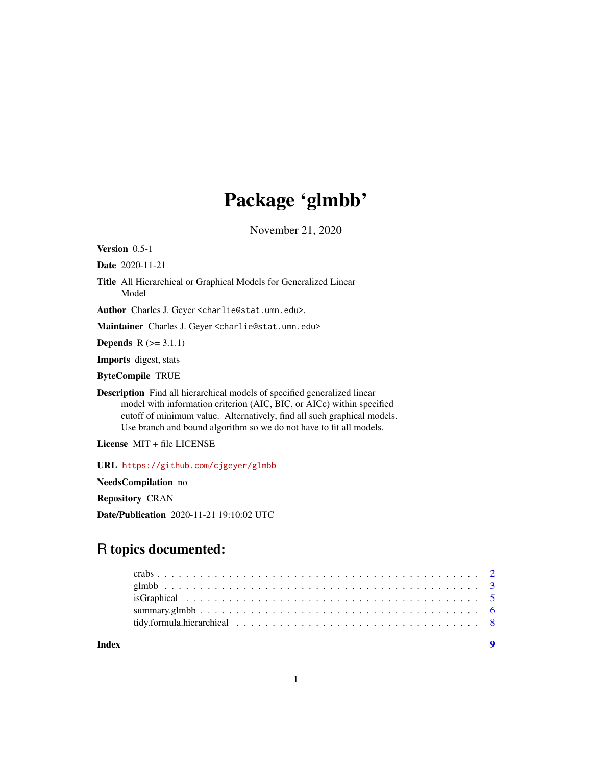## Package 'glmbb'

November 21, 2020

<span id="page-0-0"></span>Version 0.5-1

Date 2020-11-21

Title All Hierarchical or Graphical Models for Generalized Linear Model

Author Charles J. Geyer <charlie@stat.umn.edu>.

Maintainer Charles J. Geyer <charlie@stat.umn.edu>

**Depends**  $R$  ( $>= 3.1.1$ )

Imports digest, stats

ByteCompile TRUE

Description Find all hierarchical models of specified generalized linear model with information criterion (AIC, BIC, or AICc) within specified cutoff of minimum value. Alternatively, find all such graphical models. Use branch and bound algorithm so we do not have to fit all models.

License MIT + file LICENSE

URL <https://github.com/cjgeyer/glmbb>

NeedsCompilation no

Repository CRAN

Date/Publication 2020-11-21 19:10:02 UTC

## R topics documented:

**Index** [9](#page-8-0)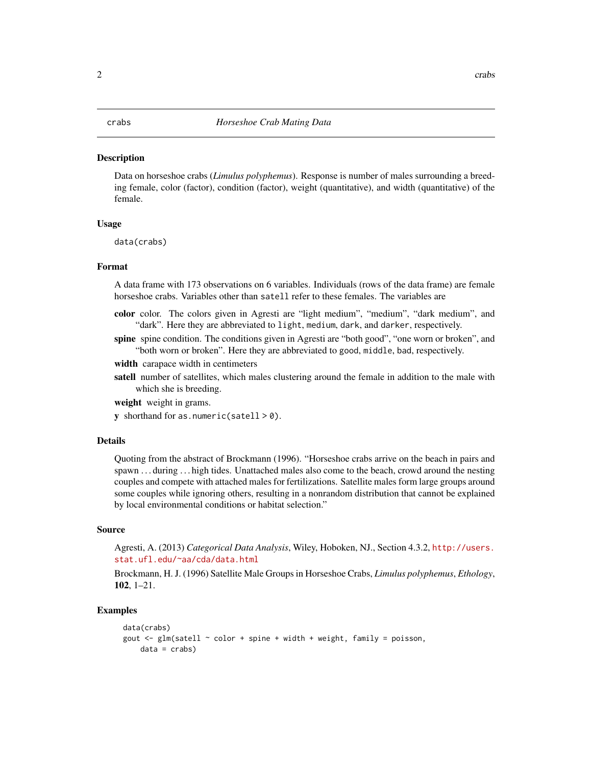#### <span id="page-1-0"></span>**Description**

Data on horseshoe crabs (*Limulus polyphemus*). Response is number of males surrounding a breeding female, color (factor), condition (factor), weight (quantitative), and width (quantitative) of the female.

#### Usage

data(crabs)

#### Format

A data frame with 173 observations on 6 variables. Individuals (rows of the data frame) are female horseshoe crabs. Variables other than satell refer to these females. The variables are

- color color. The colors given in Agresti are "light medium", "medium", "dark medium", and "dark". Here they are abbreviated to light, medium, dark, and darker, respectively.
- spine spine condition. The conditions given in Agresti are "both good", "one worn or broken", and "both worn or broken". Here they are abbreviated to good, middle, bad, respectively.

width carapace width in centimeters

satell number of satellites, which males clustering around the female in addition to the male with which she is breeding.

weight weight in grams.

y shorthand for as.numeric(satell  $> 0$ ).

#### Details

Quoting from the abstract of Brockmann (1996). "Horseshoe crabs arrive on the beach in pairs and spawn . . . during . . . high tides. Unattached males also come to the beach, crowd around the nesting couples and compete with attached males for fertilizations. Satellite males form large groups around some couples while ignoring others, resulting in a nonrandom distribution that cannot be explained by local environmental conditions or habitat selection."

#### Source

Agresti, A. (2013) *Categorical Data Analysis*, Wiley, Hoboken, NJ., Section 4.3.2, [http://users.](http://users.stat.ufl.edu/~aa/cda/data.html) [stat.ufl.edu/~aa/cda/data.html](http://users.stat.ufl.edu/~aa/cda/data.html)

Brockmann, H. J. (1996) Satellite Male Groups in Horseshoe Crabs, *Limulus polyphemus*, *Ethology*, 102, 1–21.

#### Examples

```
data(crabs)
gout \le glm(satell \sim color + spine + width + weight, family = poisson,
    data = crabs
```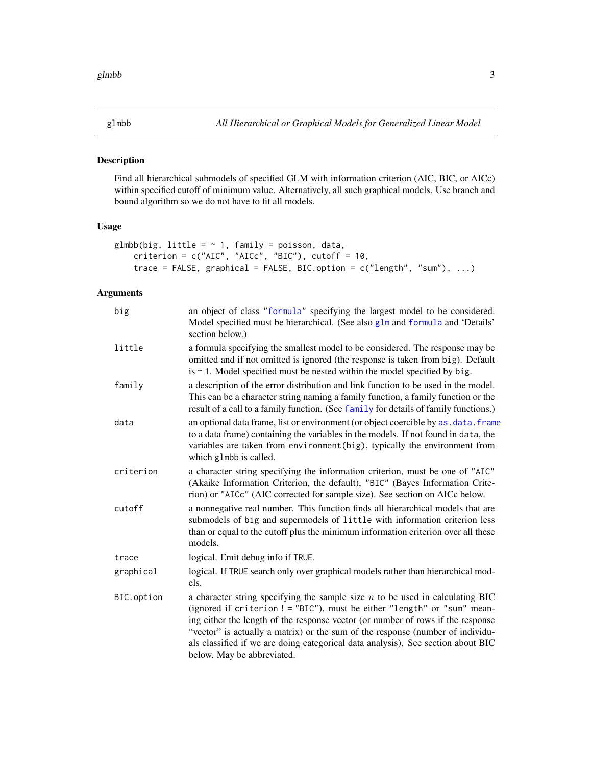### <span id="page-2-1"></span><span id="page-2-0"></span>Description

Find all hierarchical submodels of specified GLM with information criterion (AIC, BIC, or AICc) within specified cutoff of minimum value. Alternatively, all such graphical models. Use branch and bound algorithm so we do not have to fit all models.

#### Usage

```
glmbb(big, little = \sim 1, family = poisson, data,
    criterion = c("AIC", "AICc", "BIC"), cutoff = 10,trace = FALSE, graphical = FALSE, BIC.option = c("length", "sum"), ...)
```
#### Arguments

| big        | an object of class "formula" specifying the largest model to be considered.<br>Model specified must be hierarchical. (See also glm and formula and 'Details'<br>section below.)                                                                                                                                                                                                                                                                    |
|------------|----------------------------------------------------------------------------------------------------------------------------------------------------------------------------------------------------------------------------------------------------------------------------------------------------------------------------------------------------------------------------------------------------------------------------------------------------|
| little     | a formula specifying the smallest model to be considered. The response may be<br>omitted and if not omitted is ignored (the response is taken from big). Default<br>is $\sim$ 1. Model specified must be nested within the model specified by big.                                                                                                                                                                                                 |
| family     | a description of the error distribution and link function to be used in the model.<br>This can be a character string naming a family function, a family function or the<br>result of a call to a family function. (See family for details of family functions.)                                                                                                                                                                                    |
| data       | an optional data frame, list or environment (or object coercible by as . data. frame<br>to a data frame) containing the variables in the models. If not found in data, the<br>variables are taken from environment(big), typically the environment from<br>which glmbb is called.                                                                                                                                                                  |
| criterion  | a character string specifying the information criterion, must be one of "AIC"<br>(Akaike Information Criterion, the default), "BIC" (Bayes Information Crite-<br>rion) or "AICc" (AIC corrected for sample size). See section on AICc below.                                                                                                                                                                                                       |
| cutoff     | a nonnegative real number. This function finds all hierarchical models that are<br>submodels of big and supermodels of little with information criterion less<br>than or equal to the cutoff plus the minimum information criterion over all these<br>models.                                                                                                                                                                                      |
| trace      | logical. Emit debug info if TRUE.                                                                                                                                                                                                                                                                                                                                                                                                                  |
| graphical  | logical. If TRUE search only over graphical models rather than hierarchical mod-<br>els.                                                                                                                                                                                                                                                                                                                                                           |
| BIC.option | a character string specifying the sample size $n$ to be used in calculating BIC<br>(ignored if criterion ! = "BIC"), must be either "length" or "sum" mean-<br>ing either the length of the response vector (or number of rows if the response<br>"vector" is actually a matrix) or the sum of the response (number of individu-<br>als classified if we are doing categorical data analysis). See section about BIC<br>below. May be abbreviated. |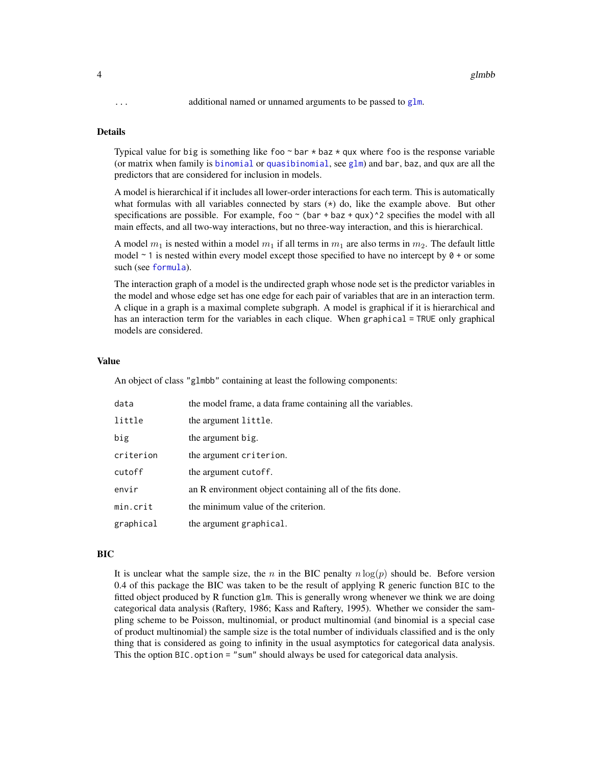<span id="page-3-0"></span>... additional named or unnamed arguments to be passed to [glm](#page-0-0).

#### Details

Typical value for big is something like foo  $\sim$  bar  $\star$  baz  $\star$  qux where foo is the response variable (or matrix when family is [binomial](#page-0-0) or [quasibinomial](#page-0-0), see [glm](#page-0-0)) and bar, baz, and qux are all the predictors that are considered for inclusion in models.

A model is hierarchical if it includes all lower-order interactions for each term. This is automatically what formulas with all variables connected by stars  $(*)$  do, like the example above. But other specifications are possible. For example, foo  $\sim$  (bar + baz + qux) $\sim$ 2 specifies the model with all main effects, and all two-way interactions, but no three-way interaction, and this is hierarchical.

A model  $m_1$  is nested within a model  $m_1$  if all terms in  $m_1$  are also terms in  $m_2$ . The default little model  $\sim$  1 is nested within every model except those specified to have no intercept by  $\theta$  + or some such (see [formula](#page-0-0)).

The interaction graph of a model is the undirected graph whose node set is the predictor variables in the model and whose edge set has one edge for each pair of variables that are in an interaction term. A clique in a graph is a maximal complete subgraph. A model is graphical if it is hierarchical and has an interaction term for the variables in each clique. When graphical = TRUE only graphical models are considered.

#### Value

An object of class "glmbb" containing at least the following components:

| data      | the model frame, a data frame containing all the variables. |
|-----------|-------------------------------------------------------------|
| little    | the argument little.                                        |
| big       | the argument big.                                           |
| criterion | the argument criterion.                                     |
| cutoff    | the argument cutoff.                                        |
| envir     | an R environment object containing all of the fits done.    |
| min.crit  | the minimum value of the criterion.                         |
| graphical | the argument graphical.                                     |

#### BIC

It is unclear what the sample size, the n in the BIC penalty  $n \log(p)$  should be. Before version 0.4 of this package the BIC was taken to be the result of applying R generic function BIC to the fitted object produced by R function glm. This is generally wrong whenever we think we are doing categorical data analysis (Raftery, 1986; Kass and Raftery, 1995). Whether we consider the sampling scheme to be Poisson, multinomial, or product multinomial (and binomial is a special case of product multinomial) the sample size is the total number of individuals classified and is the only thing that is considered as going to infinity in the usual asymptotics for categorical data analysis. This the option BIC.option = "sum" should always be used for categorical data analysis.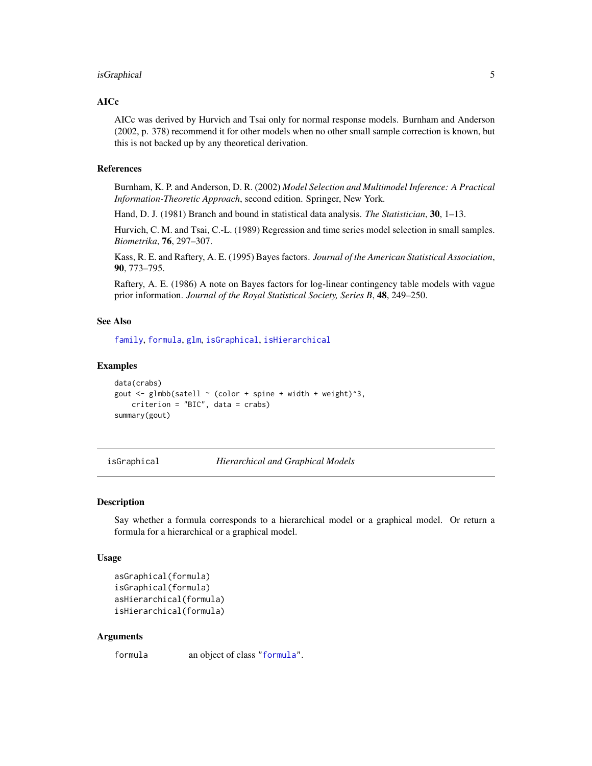#### <span id="page-4-0"></span>isGraphical 5

#### AICc

AICc was derived by Hurvich and Tsai only for normal response models. Burnham and Anderson (2002, p. 378) recommend it for other models when no other small sample correction is known, but this is not backed up by any theoretical derivation.

#### References

Burnham, K. P. and Anderson, D. R. (2002) *Model Selection and Multimodel Inference: A Practical Information-Theoretic Approach*, second edition. Springer, New York.

Hand, D. J. (1981) Branch and bound in statistical data analysis. *The Statistician*, 30, 1–13.

Hurvich, C. M. and Tsai, C.-L. (1989) Regression and time series model selection in small samples. *Biometrika*, 76, 297–307.

Kass, R. E. and Raftery, A. E. (1995) Bayes factors. *Journal of the American Statistical Association*, 90, 773–795.

Raftery, A. E. (1986) A note on Bayes factors for log-linear contingency table models with vague prior information. *Journal of the Royal Statistical Society, Series B*, 48, 249–250.

#### See Also

[family](#page-0-0), [formula](#page-0-0), [glm](#page-0-0), [isGraphical](#page-4-1), [isHierarchical](#page-4-2)

#### Examples

```
data(crabs)
gout \leq glmbb(satell \sim (color + spine + width + weight)^3,
    criterion = "BIC", data = crabs)
summary(gout)
```
<span id="page-4-1"></span>isGraphical *Hierarchical and Graphical Models*

#### <span id="page-4-2"></span>Description

Say whether a formula corresponds to a hierarchical model or a graphical model. Or return a formula for a hierarchical or a graphical model.

#### Usage

```
asGraphical(formula)
isGraphical(formula)
asHierarchical(formula)
isHierarchical(formula)
```
#### Arguments

formula an object of class ["formula"](#page-0-0).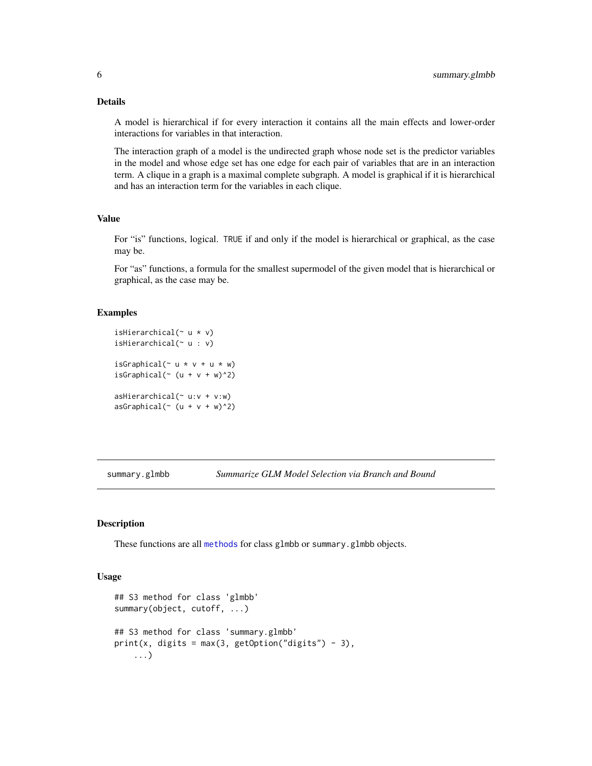#### <span id="page-5-0"></span>Details

A model is hierarchical if for every interaction it contains all the main effects and lower-order interactions for variables in that interaction.

The interaction graph of a model is the undirected graph whose node set is the predictor variables in the model and whose edge set has one edge for each pair of variables that are in an interaction term. A clique in a graph is a maximal complete subgraph. A model is graphical if it is hierarchical and has an interaction term for the variables in each clique.

#### Value

For "is" functions, logical. TRUE if and only if the model is hierarchical or graphical, as the case may be.

For "as" functions, a formula for the smallest supermodel of the given model that is hierarchical or graphical, as the case may be.

#### Examples

```
isHierarchical(~ u * v)
isHierarchical(~ u : v)
isGraphical(\sim u * v + u * w)
isGraphical(\sim (u + v + w)\sim2)
asHierarchical(~ u:v + v:w)
asGraphical (~ (u + v + w)^2)
```
summary.glmbb *Summarize GLM Model Selection via Branch and Bound*

#### Description

These functions are all [methods](#page-0-0) for class glmbb or summary.glmbb objects.

#### Usage

```
## S3 method for class 'glmbb'
summary(object, cutoff, ...)
## S3 method for class 'summary.glmbb'
print(x, digits = max(3, getOption("digits") - 3),...)
```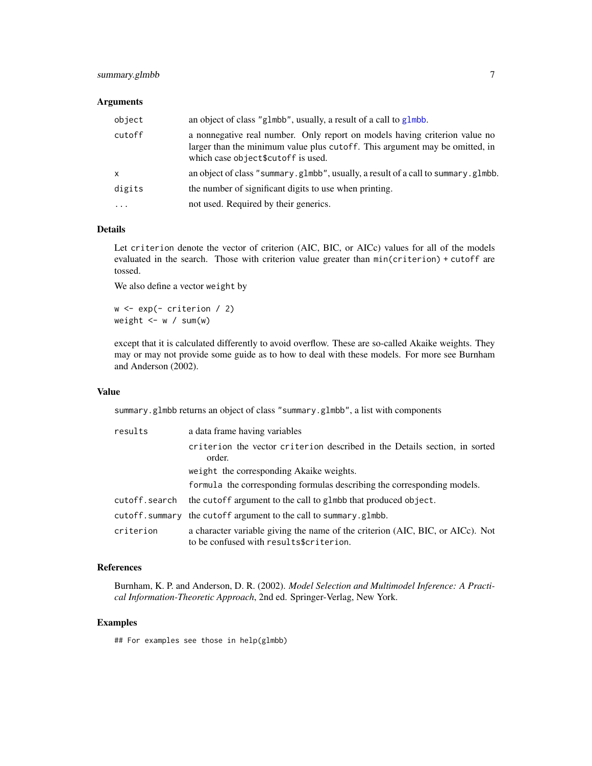#### <span id="page-6-0"></span>summary.glmbb 7

#### Arguments

| object       | an object of class "glmbb", usually, a result of a call to glmbb.                                                                                                                                |
|--------------|--------------------------------------------------------------------------------------------------------------------------------------------------------------------------------------------------|
| cutoff       | a nonnegative real number. Only report on models having criterion value no<br>larger than the minimum value plus cutoff. This argument may be omitted, in<br>which case object \$cutoff is used. |
| $\mathsf{x}$ | an object of class "summary.glmbb", usually, a result of a call to summary.glmbb.                                                                                                                |
| digits       | the number of significant digits to use when printing.                                                                                                                                           |
| $\cdots$     | not used. Required by their generics.                                                                                                                                                            |

#### Details

Let criterion denote the vector of criterion (AIC, BIC, or AICc) values for all of the models evaluated in the search. Those with criterion value greater than min(criterion) + cutoff are tossed.

We also define a vector weight by

 $w \leftarrow \exp(-\text{criterion} / 2)$ weight  $\leq -w / \text{sum}(w)$ 

except that it is calculated differently to avoid overflow. These are so-called Akaike weights. They may or may not provide some guide as to how to deal with these models. For more see Burnham and Anderson (2002).

#### Value

summary.glmbb returns an object of class "summary.glmbb", a list with components

| results       | a data frame having variables                                                                                             |  |  |  |  |  |  |  |  |  |
|---------------|---------------------------------------------------------------------------------------------------------------------------|--|--|--|--|--|--|--|--|--|
|               | criterion the vector criterion described in the Details section, in sorted<br>order.                                      |  |  |  |  |  |  |  |  |  |
|               | weight the corresponding Akaike weights.                                                                                  |  |  |  |  |  |  |  |  |  |
|               | formula the corresponding formulas describing the corresponding models.                                                   |  |  |  |  |  |  |  |  |  |
| cutoff.search | the cutoff argument to the call to glmbb that produced object.                                                            |  |  |  |  |  |  |  |  |  |
|               | cutoff.summary the cutoff argument to the call to summary.glmbb.                                                          |  |  |  |  |  |  |  |  |  |
| criterion     | a character variable giving the name of the criterion (AIC, BIC, or AICc). Not<br>to be confused with results\$criterion. |  |  |  |  |  |  |  |  |  |

#### References

Burnham, K. P. and Anderson, D. R. (2002). *Model Selection and Multimodel Inference: A Practical Information-Theoretic Approach*, 2nd ed. Springer-Verlag, New York.

#### Examples

## For examples see those in help(glmbb)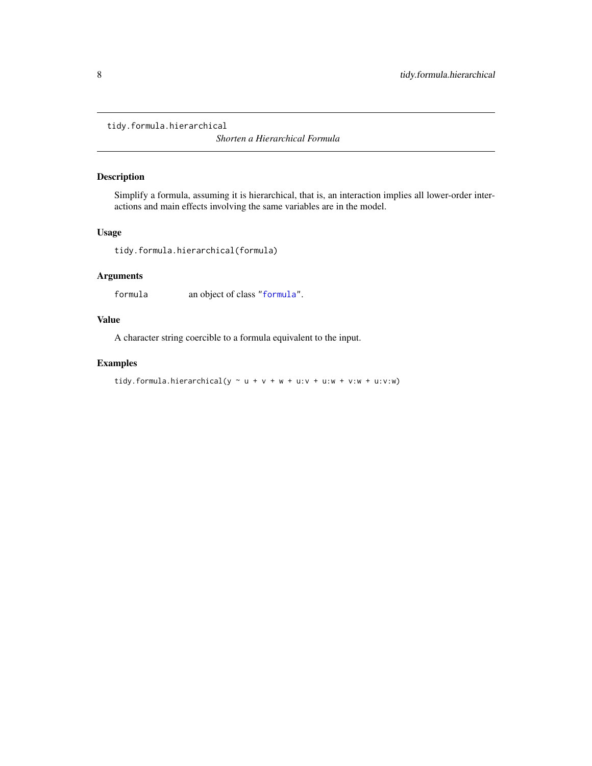<span id="page-7-0"></span>tidy.formula.hierarchical

*Shorten a Hierarchical Formula*

### Description

Simplify a formula, assuming it is hierarchical, that is, an interaction implies all lower-order interactions and main effects involving the same variables are in the model.

#### Usage

tidy.formula.hierarchical(formula)

#### Arguments

formula an object of class ["formula"](#page-0-0).

#### Value

A character string coercible to a formula equivalent to the input.

#### Examples

```
tidy.formula.hierarchical(y \sim u + v + w + u:v + u:w + v:w + u:v:w)
```